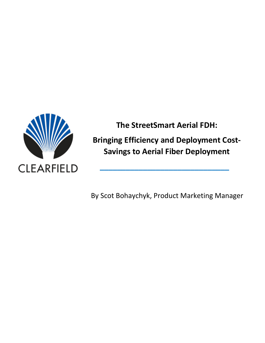

**The StreetSmart Aerial FDH:**

**Bringing Efficiency and Deployment Cost-Savings to Aerial Fiber Deployment** 

**\_\_\_\_\_\_\_\_\_\_\_\_\_\_\_\_\_\_\_\_\_\_\_\_\_\_\_\_\_\_**

By Scot Bohaychyk, Product Marketing Manager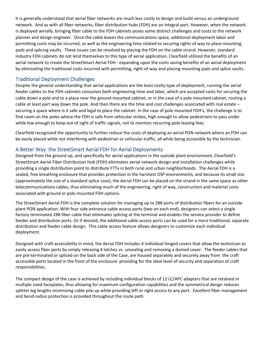It is generally understood that aerial fiber networks are much less costly to design and build versus an underground network. And as with all fiber networks, fiber distribution hubs (FDH) are an integral part. However, when the network is deployed aerially, bringing fiber cable to the FDH cabinets poses some distinct challenges and costs to the network planner and design engineer. Once the cable leaves the communications space, additional deployment labor and permitting costs may be incurred, as well as the engineering time related to securing rights of way to place mounting pads and splicing vaults. These issues can be resolved by placing the FDH on the cable strand. However, standard industry FDH cabinets do not lend themselves to this type of aerial application. Clearfield utilized the benefits of an aerial network to create the StreetSmart Aerial FDH - expanding upon the costs saving benefits of an aerial deployment by eliminating the traditional costs incurred with permitting, right-of-way and placing mounting pads and splice vaults.

## Traditional Deployment Challenges

Despite the general understanding that aerial applications are the least costly type of deployment, running the aerial feeder cables to the FDH cabinets consumes both engineering time and labor, which are accepted costs for securing the cable down a pole and to a place near the ground mounted cabinet, or in the case of a pole mounted cabinet, routing a cable at least part way down the pole. And then there are the time and cost challenges associated with real estate securing a space where is it safe and legal to place the cabinet. In the case of pole mounted FDH's, the challenge is to find room on the poles where the FDH is safe from vehicular strikes, high enough to allow pedestrians to pass under while low enough to keep out of sight of traffic signals, not to mention recurring pole leasing fees.

Clearfield recognized the opportunity to further reduce the costs of deploying an aerial PON network where an FDH can be easily placed while not interfering with pedestrian or vehicular traffic, all while being accessible by the technician.

## A Better Way: the StreetSmart Aerial FDH for Aerial Deployments

Designed from the ground up, and specifically for aerial applications in the outside plant environment, Clearfield's StreetSmart Aerial Fiber Distribution Hub (FDH) eliminates aerial network design and installation challenges while providing a single distribution point to distribute FTTx in both rural and urban neighborhoods. The Aerial FDH is a sealed, free breathing enclosure that provides protection in the harshest OSP environments, and because its small size (approximately the size of a standard splice case), the Aerial FDH can be placed on the strand in the same space as other telecommunications cables, thus eliminating much of the engineering, right of way, construction and material costs associated with ground or pole mounted FDH options.

The StreetSmart Aerial FDH is the complete solution for managing up to 288 ports of distribution fibers for an outside plant PON application. With four side-entrance cable access ports (two on each end), designers can select a single factory terminated 288 fiber cable that eliminates splicing at the terminal and enables the service provider to define feeder and distribution ports. Or if desired, the additional cable access ports can be used for a more traditional, separate distribution and feeder cable design. This cable access feature allows designers to customize each individual deployment.

Designed with craft accessibility in mind, the Aerial FDH includes 4 individual hinged covers that allow the technician to easily access fiber ports by simply releasing 4 latches vs. unsealing and removing a domed cover. The feeder cables that are pre-terminated or spliced on the back side of the Case, are housed separately and securely away from the craft accessible ports located in the front of the enclosure providing for the ideal level of security and separation of craft responsibilities.

The compact design of the case is achieved by including individual blocks of 12 LC/APC adapters that are retained in multiple sized faceplates, thus allowing for maximum configuration capabilities and the symmetrical design reduces splitter leg lengths minimizing cable pile-up while providing left or right access to any port. Excellent fiber management and bend-radius protection is provided throughout the route path.